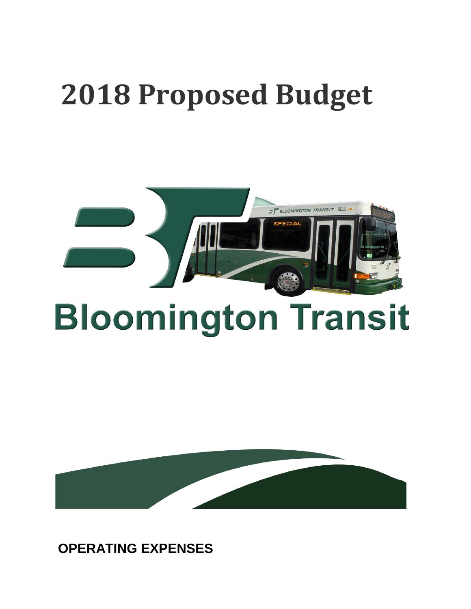## **2018 Proposed Budget**



## **Bloomington Transit**



**OPERATING EXPENSES**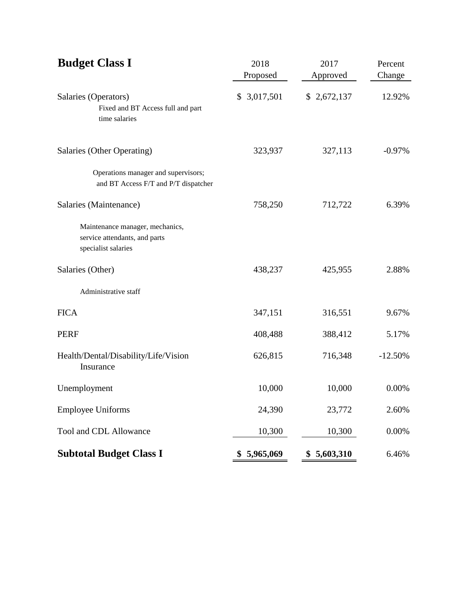| <b>Budget Class I</b>                                                                   | 2018<br>Proposed | 2017<br>Approved | Percent<br>Change |
|-----------------------------------------------------------------------------------------|------------------|------------------|-------------------|
| Salaries (Operators)<br>Fixed and BT Access full and part<br>time salaries              | \$ 3,017,501     | \$2,672,137      | 12.92%            |
| Salaries (Other Operating)                                                              | 323,937          | 327,113          | $-0.97%$          |
| Operations manager and supervisors;<br>and BT Access F/T and P/T dispatcher             |                  |                  |                   |
| Salaries (Maintenance)                                                                  | 758,250          | 712,722          | 6.39%             |
| Maintenance manager, mechanics,<br>service attendants, and parts<br>specialist salaries |                  |                  |                   |
| Salaries (Other)                                                                        | 438,237          | 425,955          | 2.88%             |
| Administrative staff                                                                    |                  |                  |                   |
| <b>FICA</b>                                                                             | 347,151          | 316,551          | 9.67%             |
| <b>PERF</b>                                                                             | 408,488          | 388,412          | 5.17%             |
| Health/Dental/Disability/Life/Vision<br>Insurance                                       | 626,815          | 716,348          | $-12.50%$         |
| Unemployment                                                                            | 10,000           | 10,000           | 0.00%             |
| <b>Employee Uniforms</b>                                                                | 24,390           | 23,772           | 2.60%             |
| Tool and CDL Allowance                                                                  | 10,300           | 10,300           | 0.00%             |
| <b>Subtotal Budget Class I</b>                                                          | 5,965,069<br>\$  | \$<br>5,603,310  | 6.46%             |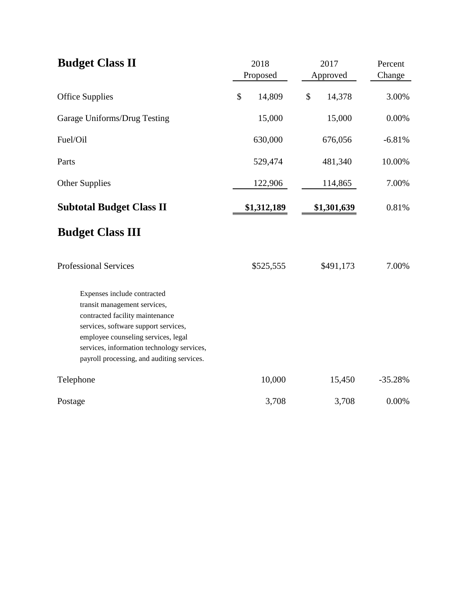| <b>Budget Class II</b>                                                                                                                                                                                                                                                    | 2018<br>Proposed |    | 2017<br>Approved | Percent<br>Change |
|---------------------------------------------------------------------------------------------------------------------------------------------------------------------------------------------------------------------------------------------------------------------------|------------------|----|------------------|-------------------|
| <b>Office Supplies</b>                                                                                                                                                                                                                                                    | \$<br>14,809     | \$ | 14,378           | 3.00%             |
| Garage Uniforms/Drug Testing                                                                                                                                                                                                                                              | 15,000           |    | 15,000           | 0.00%             |
| Fuel/Oil                                                                                                                                                                                                                                                                  | 630,000          |    | 676,056          | $-6.81%$          |
| Parts                                                                                                                                                                                                                                                                     | 529,474          |    | 481,340          | 10.00%            |
| Other Supplies                                                                                                                                                                                                                                                            | 122,906          |    | 114,865          | 7.00%             |
| <b>Subtotal Budget Class II</b>                                                                                                                                                                                                                                           | \$1,312,189      |    | \$1,301,639      | 0.81%             |
| <b>Budget Class III</b>                                                                                                                                                                                                                                                   |                  |    |                  |                   |
| <b>Professional Services</b>                                                                                                                                                                                                                                              | \$525,555        |    | \$491,173        | 7.00%             |
| Expenses include contracted<br>transit management services,<br>contracted facility maintenance<br>services, software support services,<br>employee counseling services, legal<br>services, information technology services,<br>payroll processing, and auditing services. |                  |    |                  |                   |
| Telephone                                                                                                                                                                                                                                                                 | 10,000           |    | 15,450           | $-35.28%$         |
| Postage                                                                                                                                                                                                                                                                   | 3,708            |    | 3,708            | 0.00%             |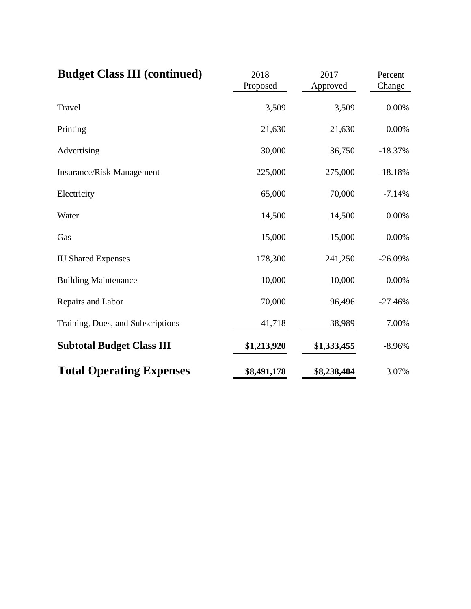| <b>Budget Class III (continued)</b> | 2018<br>Proposed | 2017<br>Approved | Percent<br>Change |  |
|-------------------------------------|------------------|------------------|-------------------|--|
| Travel                              | 3,509            | 3,509            | 0.00%             |  |
| Printing                            | 21,630           | 21,630           | 0.00%             |  |
| Advertising                         | 30,000           | 36,750           | $-18.37%$         |  |
| <b>Insurance/Risk Management</b>    | 225,000          | 275,000          | $-18.18%$         |  |
| Electricity                         | 65,000           | 70,000           | $-7.14%$          |  |
| Water                               | 14,500           | 14,500           | 0.00%             |  |
| Gas                                 | 15,000           | 15,000           | 0.00%             |  |
| <b>IU Shared Expenses</b>           | 178,300          | 241,250          | $-26.09%$         |  |
| <b>Building Maintenance</b>         | 10,000           | 10,000           | 0.00%             |  |
| Repairs and Labor                   | 70,000           | 96,496           | $-27.46%$         |  |
| Training, Dues, and Subscriptions   | 41,718           | 38,989           | 7.00%             |  |
| <b>Subtotal Budget Class III</b>    | \$1,213,920      | \$1,333,455      | $-8.96%$          |  |
| <b>Total Operating Expenses</b>     | \$8,491,178      | \$8,238,404      | 3.07%             |  |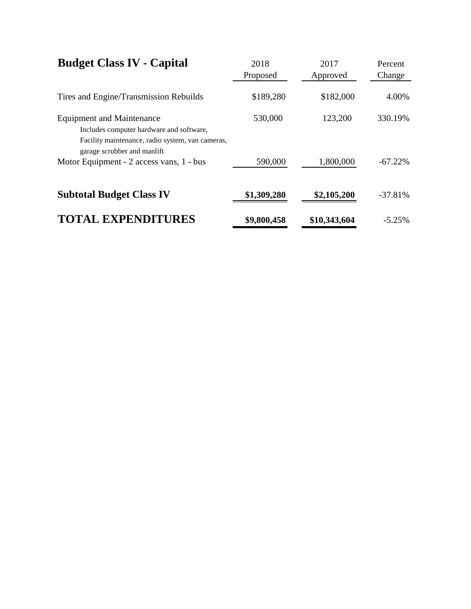| <b>Budget Class IV - Capital</b>                                                                                                                                | 2018<br>Proposed | 2017<br>Approved | Percent<br>Change |  |
|-----------------------------------------------------------------------------------------------------------------------------------------------------------------|------------------|------------------|-------------------|--|
| Tires and Engine/Transmission Rebuilds                                                                                                                          | \$189,280        | \$182,000        | 4.00%             |  |
| <b>Equipment and Maintenance</b><br>Includes computer hardware and software,<br>Facility maintenance, radio system, van cameras,<br>garage scrubber and manlift | 530,000          | 123,200          | 330.19%           |  |
| Motor Equipment - 2 access vans, 1 - bus                                                                                                                        | 590,000          | 1,800,000        | $-67.22\%$        |  |
| <b>Subtotal Budget Class IV</b>                                                                                                                                 | \$1,309,280      | \$2,105,200      | $-37.81\%$        |  |
| <b>TOTAL EXPENDITURES</b>                                                                                                                                       | \$9,800,458      | \$10,343,604     | $-5.25\%$         |  |